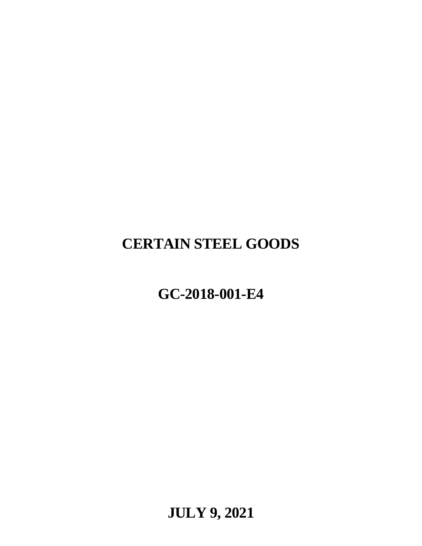# **CERTAIN STEEL GOODS**

# **GC-2018-001-E4**

**JULY 9, 2021**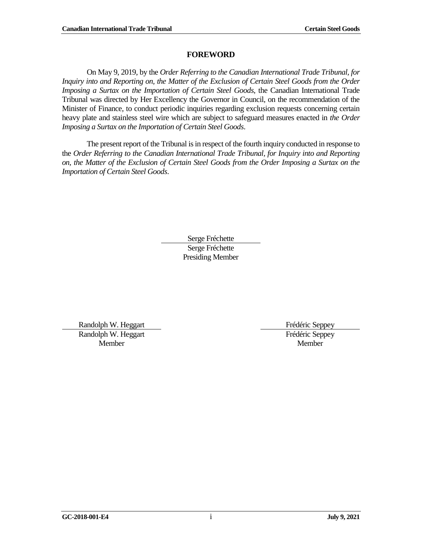#### **FOREWORD**

<span id="page-2-0"></span>On May 9, 2019, by the *Order Referring to the Canadian International Trade Tribunal, for Inquiry into and Reporting on, the Matter of the Exclusion of Certain Steel Goods from the Order Imposing a Surtax on the Importation of Certain Steel Goods*, the Canadian International Trade Tribunal was directed by Her Excellency the Governor in Council, on the recommendation of the Minister of Finance, to conduct periodic inquiries regarding exclusion requests concerning certain heavy plate and stainless steel wire which are subject to safeguard measures enacted in *the Order Imposing a Surtax on the Importation of Certain Steel Goods*.

The present report of the Tribunal is in respect of the fourth inquiry conducted in response to the *Order Referring to the Canadian International Trade Tribunal, for Inquiry into and Reporting on, the Matter of the Exclusion of Certain Steel Goods from the Order Imposing a Surtax on the Importation of Certain Steel Goods*.

> Serge Fréchette Serge Fréchette Presiding Member

Randolph W. Heggart Frédéric Seppey Randolph W. Heggart Member

Frédéric Seppey Member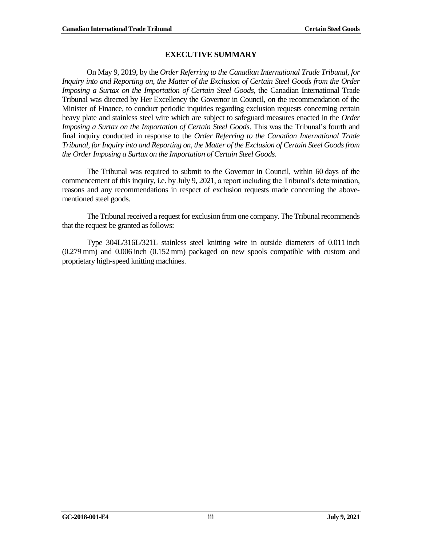#### **EXECUTIVE SUMMARY**

<span id="page-4-0"></span>On May 9, 2019, by the *Order Referring to the Canadian International Trade Tribunal, for Inquiry into and Reporting on, the Matter of the Exclusion of Certain Steel Goods from the Order Imposing a Surtax on the Importation of Certain Steel Goods*, the Canadian International Trade Tribunal was directed by Her Excellency the Governor in Council, on the recommendation of the Minister of Finance, to conduct periodic inquiries regarding exclusion requests concerning certain heavy plate and stainless steel wire which are subject to safeguard measures enacted in the *Order Imposing a Surtax on the Importation of Certain Steel Goods*. This was the Tribunal's fourth and final inquiry conducted in response to the *Order Referring to the Canadian International Trade Tribunal, for Inquiry into and Reporting on, the Matter of the Exclusion of Certain Steel Goods from the Order Imposing a Surtax on the Importation of Certain Steel Goods*.

The Tribunal was required to submit to the Governor in Council, within 60 days of the commencement of this inquiry, i.e. by July 9, 2021, a report including the Tribunal's determination, reasons and any recommendations in respect of exclusion requests made concerning the abovementioned steel goods.

The Tribunal received a request for exclusion from one company. The Tribunal recommends that the request be granted as follows:

Type 304L/316L/321L stainless steel knitting wire in outside diameters of 0.011 inch (0.279 mm) and 0.006 inch (0.152 mm) packaged on new spools compatible with custom and proprietary high-speed knitting machines.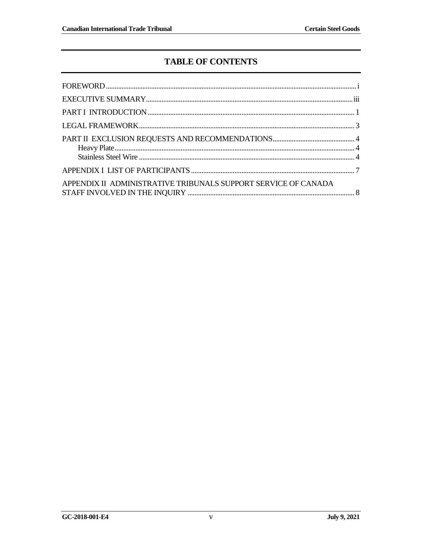## **TABLE OF CONTENTS**

| APPENDIX II ADMINISTRATIVE TRIBUNALS SUPPORT SERVICE OF CANADA |  |
|----------------------------------------------------------------|--|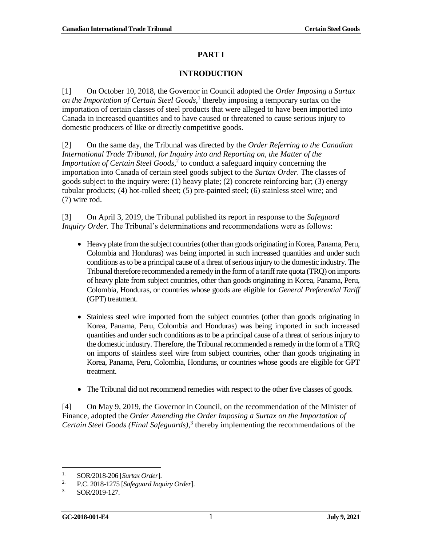#### **PART I**

#### **INTRODUCTION**

<span id="page-8-0"></span>[1] On October 10, 2018, the Governor in Council adopted the *Order Imposing a Surtax on the Importation of Certain Steel Goods*, 1 thereby imposing a temporary surtax on the importation of certain classes of steel products that were alleged to have been imported into Canada in increased quantities and to have caused or threatened to cause serious injury to domestic producers of like or directly competitive goods.

[2] On the same day, the Tribunal was directed by the *Order Referring to the Canadian International Trade Tribunal, for Inquiry into and Reporting on, the Matter of the Importation of Certain Steel Goods*, 2 to conduct a safeguard inquiry concerning the importation into Canada of certain steel goods subject to the *Surtax Order*. The classes of goods subject to the inquiry were: (1) heavy plate; (2) concrete reinforcing bar; (3) energy tubular products; (4) hot-rolled sheet; (5) pre-painted steel; (6) stainless steel wire; and (7) wire rod.

[3] On April 3, 2019, the Tribunal published its report in response to the *Safeguard Inquiry Order*. The Tribunal's determinations and recommendations were as follows:

- Heavy plate from the subject countries (other than goods originating in Korea, Panama, Peru, Colombia and Honduras) was being imported in such increased quantities and under such conditions as to be a principal cause of a threat of serious injury to the domestic industry. The Tribunal therefore recommended a remedy in the form of a tariff rate quota (TRQ) on imports of heavy plate from subject countries, other than goods originating in Korea, Panama, Peru, Colombia, Honduras, or countries whose goods are eligible for *General Preferential Tariff* (GPT) treatment.
- Stainless steel wire imported from the subject countries (other than goods originating in Korea, Panama, Peru, Colombia and Honduras) was being imported in such increased quantities and under such conditions as to be a principal cause of a threat of serious injury to the domestic industry. Therefore, the Tribunal recommended a remedy in the form of a TRQ on imports of stainless steel wire from subject countries, other than goods originating in Korea, Panama, Peru, Colombia, Honduras, or countries whose goods are eligible for GPT treatment.
- The Tribunal did not recommend remedies with respect to the other five classes of goods.

[4] On May 9, 2019, the Governor in Council, on the recommendation of the Minister of Finance, adopted the *Order Amending the Order Imposing a Surtax on the Importation of Certain Steel Goods (Final Safeguards)*, 3 thereby implementing the recommendations of the

<sup>&</sup>lt;sup>1.</sup> SOR/2018-206 [*Surtax Order*].

<sup>2.</sup> P.C. 2018-1275 [*Safeguard Inquiry Order*].

<sup>3.</sup> SOR/2019-127.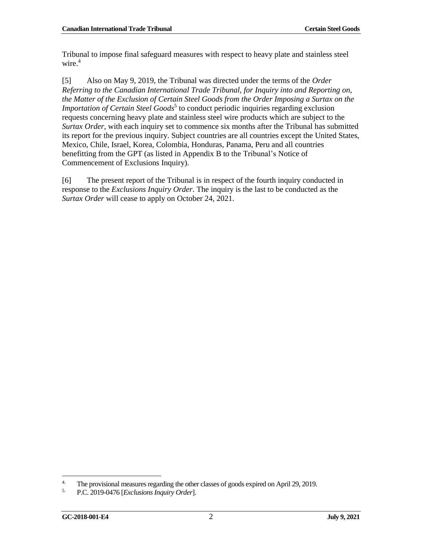Tribunal to impose final safeguard measures with respect to heavy plate and stainless steel wire. 4

[5] Also on May 9, 2019, the Tribunal was directed under the terms of the *Order Referring to the Canadian International Trade Tribunal, for Inquiry into and Reporting on, the Matter of the Exclusion of Certain Steel Goods from the Order Imposing a Surtax on the Importation of Certain Steel Goods<sup>5</sup>* to conduct periodic inquiries regarding exclusion requests concerning heavy plate and stainless steel wire products which are subject to the *Surtax Order*, with each inquiry set to commence six months after the Tribunal has submitted its report for the previous inquiry. Subject countries are all countries except the United States, Mexico, Chile, Israel, Korea, Colombia, Honduras, Panama, Peru and all countries benefitting from the GPT (as listed in Appendix B to the Tribunal's Notice of Commencement of Exclusions Inquiry).

[6] The present report of the Tribunal is in respect of the fourth inquiry conducted in response to the *Exclusions Inquiry Order*. The inquiry is the last to be conducted as the *Surtax Order* will cease to apply on October 24, 2021.

<sup>&</sup>lt;sup>4.</sup> The provisional measures regarding the other classes of goods expired on April 29, 2019.<br> $\frac{5}{2}$  B.C. 2019.0476 [Exclusions Inquiry Order]

<sup>5.</sup> P.C. 2019-0476 [*Exclusions Inquiry Order*].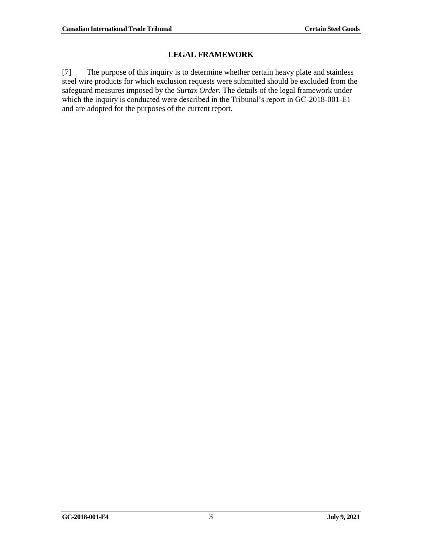### **LEGAL FRAMEWORK**

<span id="page-10-0"></span>[7] The purpose of this inquiry is to determine whether certain heavy plate and stainless steel wire products for which exclusion requests were submitted should be excluded from the safeguard measures imposed by the *Surtax Order*. The details of the legal framework under which the inquiry is conducted were described in the Tribunal's report in GC-2018-001-E1 and are adopted for the purposes of the current report.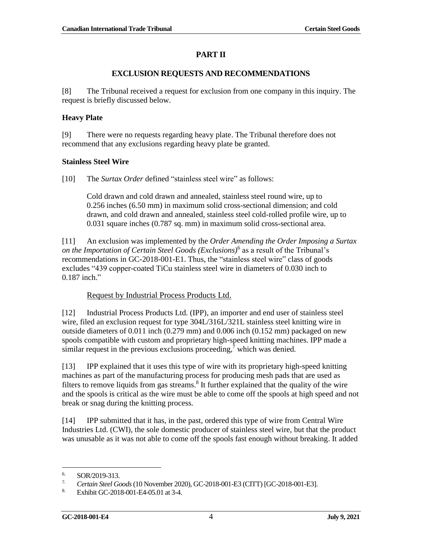#### **PART II**

#### **EXCLUSION REQUESTS AND RECOMMENDATIONS**

<span id="page-11-0"></span>[8] The Tribunal received a request for exclusion from one company in this inquiry. The request is briefly discussed below.

#### <span id="page-11-1"></span>**Heavy Plate**

[9] There were no requests regarding heavy plate. The Tribunal therefore does not recommend that any exclusions regarding heavy plate be granted.

#### <span id="page-11-2"></span>**Stainless Steel Wire**

[10] The *Surtax Order* defined "stainless steel wire" as follows:

Cold drawn and cold drawn and annealed, stainless steel round wire, up to 0.256 inches (6.50 mm) in maximum solid cross-sectional dimension; and cold drawn, and cold drawn and annealed, stainless steel cold-rolled profile wire, up to 0.031 square inches (0.787 sq. mm) in maximum solid cross-sectional area.

[11] An exclusion was implemented by the *Order Amending the Order Imposing a Surtax on the Importation of Certain Steel Goods (Exclusions)*<sup>6</sup> as a result of the Tribunal's recommendations in GC-2018-001-E1. Thus, the "stainless steel wire" class of goods excludes "439 copper-coated TiCu stainless steel wire in diameters of 0.030 inch to 0.187 inch."

#### Request by Industrial Process Products Ltd.

[12] Industrial Process Products Ltd. (IPP), an importer and end user of stainless steel wire, filed an exclusion request for type 304L/316L/321L stainless steel knitting wire in outside diameters of 0.011 inch (0.279 mm) and 0.006 inch (0.152 mm) packaged on new spools compatible with custom and proprietary high-speed knitting machines. IPP made a similar request in the previous exclusions proceeding,<sup>7</sup> which was denied.

[13] IPP explained that it uses this type of wire with its proprietary high-speed knitting machines as part of the manufacturing process for producing mesh pads that are used as filters to remove liquids from gas streams. $8$  It further explained that the quality of the wire and the spools is critical as the wire must be able to come off the spools at high speed and not break or snag during the knitting process.

[14] IPP submitted that it has, in the past, ordered this type of wire from Central Wire Industries Ltd. (CWI), the sole domestic producer of stainless steel wire, but that the product was unusable as it was not able to come off the spools fast enough without breaking. It added

 $\frac{6.}{7}$  SOR/2019-313.

<sup>7</sup>*. Certain Steel Goods* (10 November 2020), GC-2018-001-E3 (CITT) [GC-2018-001-E3].

<sup>8.</sup> Exhibit GC-2018-001-E4-05.01 at 3-4.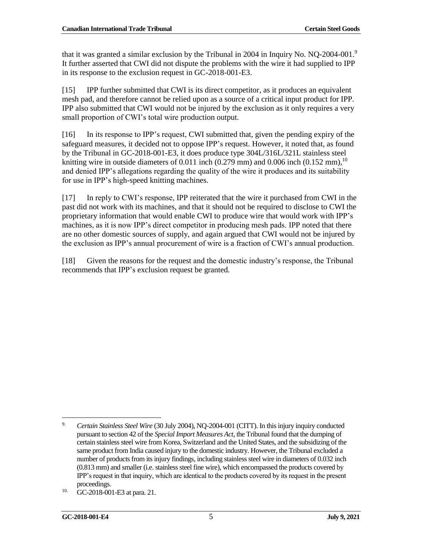that it was granted a similar exclusion by the Tribunal in 2004 in Inquiry No. NQ-2004-001.<sup>9</sup> It further asserted that CWI did not dispute the problems with the wire it had supplied to IPP in its response to the exclusion request in GC-2018-001-E3.

[15] IPP further submitted that CWI is its direct competitor, as it produces an equivalent mesh pad, and therefore cannot be relied upon as a source of a critical input product for IPP. IPP also submitted that CWI would not be injured by the exclusion as it only requires a very small proportion of CWI's total wire production output.

[16] In its response to IPP's request, CWI submitted that, given the pending expiry of the safeguard measures, it decided not to oppose IPP's request. However, it noted that, as found by the Tribunal in GC-2018-001-E3, it does produce type 304L/316L/321L stainless steel knitting wire in outside diameters of 0.011 inch (0.279 mm) and 0.006 inch (0.152 mm),  $^{10}$ and denied IPP's allegations regarding the quality of the wire it produces and its suitability for use in IPP's high-speed knitting machines.

[17] In reply to CWI's response, IPP reiterated that the wire it purchased from CWI in the past did not work with its machines, and that it should not be required to disclose to CWI the proprietary information that would enable CWI to produce wire that would work with IPP's machines, as it is now IPP's direct competitor in producing mesh pads. IPP noted that there are no other domestic sources of supply, and again argued that CWI would not be injured by the exclusion as IPP's annual procurement of wire is a fraction of CWI's annual production.

[18] Given the reasons for the request and the domestic industry's response, the Tribunal recommends that IPP's exclusion request be granted.

 $\overline{a}$ 9. *Certain Stainless Steel Wire* (30 July 2004), NQ-2004-001 (CITT). In this injury inquiry conducted pursuant to section 42 of the *Special Import Measures Act*, the Tribunal found that the dumping of certain stainless steel wire from Korea, Switzerland and the United States, and the subsidizing of the same product from India caused injury to the domestic industry. However, the Tribunal excluded a number of products from its injury findings, including stainless steel wire in diameters of 0.032 inch (0.813 mm) and smaller (i.e. stainless steel fine wire), which encompassed the products covered by IPP's request in that inquiry, which are identical to the products covered by its request in the present proceedings.

<sup>10.</sup> GC-2018-001-E3 at para. 21.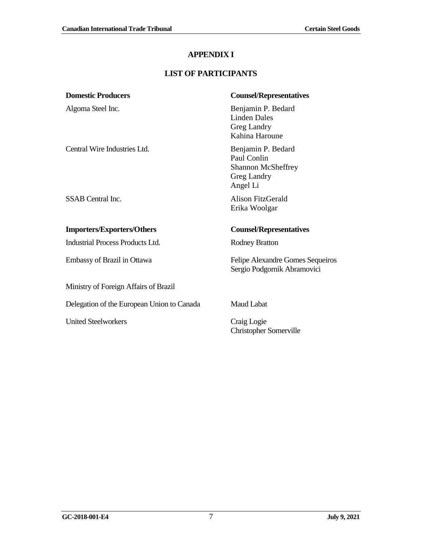### **APPENDIX I**

## **LIST OF PARTICIPANTS**

<span id="page-14-0"></span>

| <b>Domestic Producers</b>                  | <b>Counsel/Representatives</b>                                                            |
|--------------------------------------------|-------------------------------------------------------------------------------------------|
| Algoma Steel Inc.                          | Benjamin P. Bedard<br><b>Linden Dales</b><br>Greg Landry<br>Kahina Haroune                |
| Central Wire Industries Ltd.               | Benjamin P. Bedard<br>Paul Conlin<br><b>Shannon McSheffrey</b><br>Greg Landry<br>Angel Li |
| <b>SSAB</b> Central Inc.                   | Alison FitzGerald<br>Erika Woolgar                                                        |
| <b>Importers/Exporters/Others</b>          | <b>Counsel/Representatives</b>                                                            |
| Industrial Process Products Ltd.           | <b>Rodney Bratton</b>                                                                     |
| Embassy of Brazil in Ottawa                | Felipe Alexandre Gomes Sequeiros<br>Sergio Podgornik Abramovici                           |
| Ministry of Foreign Affairs of Brazil      |                                                                                           |
| Delegation of the European Union to Canada | <b>Maud Labat</b>                                                                         |
| <b>United Steelworkers</b>                 | Craig Logie<br>Christopher Somerville                                                     |